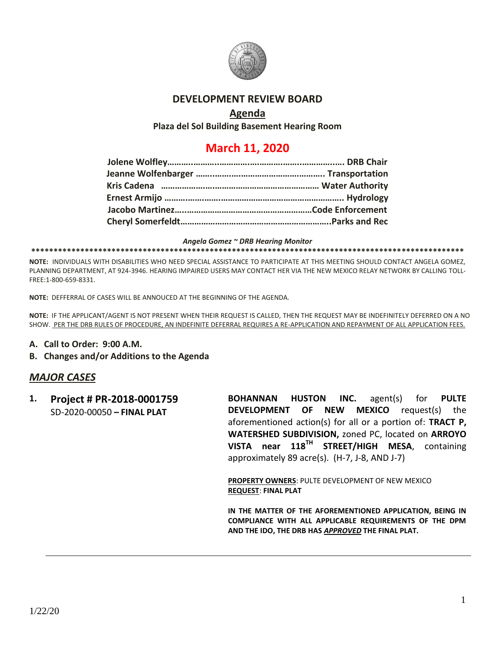

### **DEVELOPMENT REVIEW BOARD**

### **Agenda**

**Plaza del Sol Building Basement Hearing Room**

# **March 11, 2020**

#### *Angela Gomez ~ DRB Hearing Monitor*

#### **\*\*\*\*\*\*\*\*\*\*\*\*\*\*\*\*\*\*\*\*\*\*\*\*\*\*\*\*\*\*\*\*\*\*\*\*\*\*\*\*\*\*\*\*\*\*\*\*\*\*\*\*\*\*\*\*\*\*\*\*\*\*\*\*\*\*\*\*\*\*\*\*\*\*\*\*\*\*\*\*\*\*\*\*\*\*\*\*\*\*\*\*\*\*\*\*\***

**NOTE:** INDIVIDUALS WITH DISABILITIES WHO NEED SPECIAL ASSISTANCE TO PARTICIPATE AT THIS MEETING SHOULD CONTACT ANGELA GOMEZ, PLANNING DEPARTMENT, AT 924-3946. HEARING IMPAIRED USERS MAY CONTACT HER VIA THE NEW MEXICO RELAY NETWORK BY CALLING TOLL-FREE:1-800-659-8331.

**NOTE:** DEFFERRAL OF CASES WILL BE ANNOUCED AT THE BEGINNING OF THE AGENDA.

**NOTE:** IF THE APPLICANT/AGENT IS NOT PRESENT WHEN THEIR REQUEST IS CALLED, THEN THE REQUEST MAY BE INDEFINITELY DEFERRED ON A NO SHOW. PER THE DRB RULES OF PROCEDURE, AN INDEFINITE DEFERRAL REQUIRES A RE-APPLICATION AND REPAYMENT OF ALL APPLICATION FEES.

**A. Call to Order: 9:00 A.M.**

#### **B. Changes and/or Additions to the Agenda**

#### *MAJOR CASES*

**1. Project # PR-2018-0001759** SD-2020-00050 **– FINAL PLAT**

**BOHANNAN HUSTON INC.** agent(s) for **PULTE DEVELOPMENT OF NEW MEXICO** request(s) the aforementioned action(s) for all or a portion of: **TRACT P, WATERSHED SUBDIVISION,** zoned PC, located on **ARROYO VISTA near 118TH STREET/HIGH MESA**, containing approximately 89 acre(s). (H-7, J-8, AND J-7)

**PROPERTY OWNERS**: PULTE DEVELOPMENT OF NEW MEXICO **REQUEST**: **FINAL PLAT**

**IN THE MATTER OF THE AFOREMENTIONED APPLICATION, BEING IN COMPLIANCE WITH ALL APPLICABLE REQUIREMENTS OF THE DPM AND THE IDO, THE DRB HAS** *APPROVED* **THE FINAL PLAT.**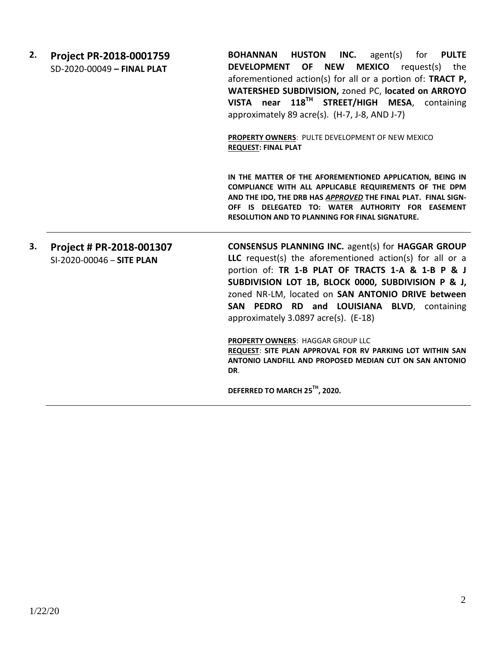| 2. | Project PR-2018-0001759<br>SD-2020-00049 - FINAL PLAT | BOHANNAN HUSTON INC.<br>agent(s) for <b>PULTE</b><br>DEVELOPMENT OF NEW MEXICO request(s) the<br>aforementioned action(s) for all or a portion of: TRACT P,<br>WATERSHED SUBDIVISION, zoned PC, located on ARROYO<br>VISTA near 118TH STREET/HIGH MESA, containing<br>approximately 89 acre(s). (H-7, J-8, AND J-7)<br><b>PROPERTY OWNERS: PULTE DEVELOPMENT OF NEW MEXICO</b><br><b>REQUEST: FINAL PLAT</b>                                                                                                                                    |
|----|-------------------------------------------------------|-------------------------------------------------------------------------------------------------------------------------------------------------------------------------------------------------------------------------------------------------------------------------------------------------------------------------------------------------------------------------------------------------------------------------------------------------------------------------------------------------------------------------------------------------|
|    |                                                       | IN THE MATTER OF THE AFOREMENTIONED APPLICATION, BEING IN<br>COMPLIANCE WITH ALL APPLICABLE REQUIREMENTS OF THE DPM<br>AND THE IDO, THE DRB HAS APPROVED THE FINAL PLAT. FINAL SIGN-<br>OFF IS DELEGATED TO: WATER AUTHORITY FOR EASEMENT<br><b>RESOLUTION AND TO PLANNING FOR FINAL SIGNATURE.</b>                                                                                                                                                                                                                                             |
| 3. | Project # PR-2018-001307<br>SI-2020-00046 - SITE PLAN | <b>CONSENSUS PLANNING INC. agent(s) for HAGGAR GROUP</b><br>LLC request(s) the aforementioned action(s) for all or a<br>portion of: TR 1-B PLAT OF TRACTS 1-A & 1-B P & J<br>SUBDIVISION LOT 1B, BLOCK 0000, SUBDIVISION P & J,<br>zoned NR-LM, located on SAN ANTONIO DRIVE between<br>SAN PEDRO RD and LOUISIANA BLVD, containing<br>approximately 3.0897 acre(s). (E-18)<br>PROPERTY OWNERS: HAGGAR GROUP LLC<br>REQUEST: SITE PLAN APPROVAL FOR RV PARKING LOT WITHIN SAN<br>ANTONIO LANDFILL AND PROPOSED MEDIAN CUT ON SAN ANTONIO<br>DR. |
|    |                                                       | DEFERRED TO MARCH 25TH, 2020.                                                                                                                                                                                                                                                                                                                                                                                                                                                                                                                   |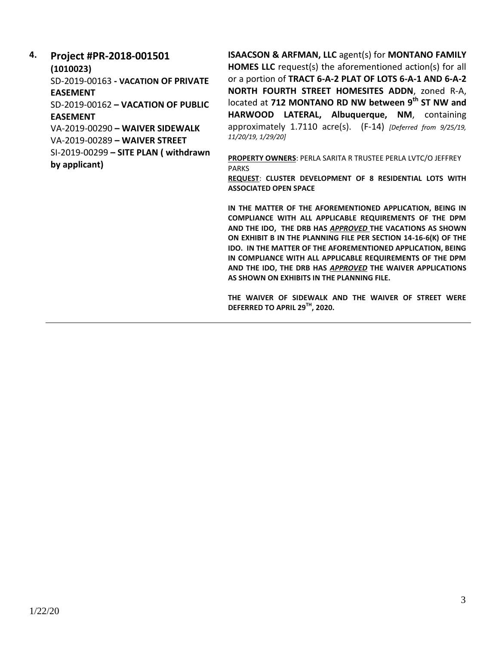#### **4. Project #PR-2018-001501 (1010023)**

SD-2019-00163 **- VACATION OF PRIVATE EASEMENT**

SD-2019-00162 **– VACATION OF PUBLIC** 

## **EASEMENT**

VA-2019-00290 **– WAIVER SIDEWALK**  VA-2019-00289 **– WAIVER STREET** SI-2019-00299 **– SITE PLAN ( withdrawn by applicant)**

**ISAACSON & ARFMAN, LLC** agent(s) for **MONTANO FAMILY HOMES LLC** request(s) the aforementioned action(s) for all or a portion of **TRACT 6-A-2 PLAT OF LOTS 6-A-1 AND 6-A-2 NORTH FOURTH STREET HOMESITES ADDN**, zoned R-A, located at **712 MONTANO RD NW between 9th ST NW and HARWOOD LATERAL, Albuquerque, NM**, containing approximately 1.7110 acre(s). (F-14) *[Deferred from 9/25/19, 11/20/19, 1/29/20]*

**PROPERTY OWNERS**: PERLA SARITA R TRUSTEE PERLA LVTC/O JEFFREY PARKS

**REQUEST**: **CLUSTER DEVELOPMENT OF 8 RESIDENTIAL LOTS WITH ASSOCIATED OPEN SPACE**

**IN THE MATTER OF THE AFOREMENTIONED APPLICATION, BEING IN COMPLIANCE WITH ALL APPLICABLE REQUIREMENTS OF THE DPM AND THE IDO, THE DRB HAS** *APPROVED* **THE VACATIONS AS SHOWN ON EXHIBIT B IN THE PLANNING FILE PER SECTION 14-16-6(K) OF THE IDO. IN THE MATTER OF THE AFOREMENTIONED APPLICATION, BEING IN COMPLIANCE WITH ALL APPLICABLE REQUIREMENTS OF THE DPM AND THE IDO, THE DRB HAS** *APPROVED* **THE WAIVER APPLICATIONS AS SHOWN ON EXHIBITS IN THE PLANNING FILE.**

**THE WAIVER OF SIDEWALK AND THE WAIVER OF STREET WERE DEFERRED TO APRIL 29TH, 2020.**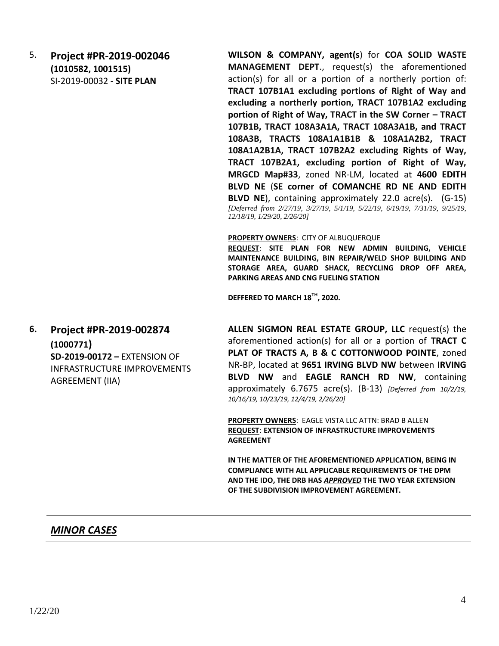5. **Project #PR-2019-002046 (1010582, 1001515)** SI-2019-00032 **- SITE PLAN** 

**WILSON & COMPANY, agent(s**) for **COA SOLID WASTE MANAGEMENT DEPT**., request(s) the aforementioned action(s) for all or a portion of a northerly portion of: **TRACT 107B1A1 excluding portions of Right of Way and excluding a northerly portion, TRACT 107B1A2 excluding portion of Right of Way, TRACT in the SW Corner – TRACT 107B1B, TRACT 108A3A1A, TRACT 108A3A1B, and TRACT 108A3B, TRACTS 108A1A1B1B & 108A1A2B2, TRACT 108A1A2B1A, TRACT 107B2A2 excluding Rights of Way, TRACT 107B2A1, excluding portion of Right of Way, MRGCD Map#33**, zoned NR-LM, located at **4600 EDITH BLVD NE** (**SE corner of COMANCHE RD NE AND EDITH BLVD NE**), containing approximately 22.0 acre(s). (G-15) *[Deferred from 2/27/19, 3/27/19, 5/1/19, 5/22/19, 6/19/19, 7/31/19, 9/25/19, 12/18/19, 1/29/20, 2/26/20]*

**PROPERTY OWNERS**: CITY OF ALBUQUERQUE

**REQUEST**: **SITE PLAN FOR NEW ADMIN BUILDING, VEHICLE MAINTENANCE BUILDING, BIN REPAIR/WELD SHOP BUILDING AND STORAGE AREA, GUARD SHACK, RECYCLING DROP OFF AREA, PARKING AREAS AND CNG FUELING STATION**

**DEFFERED TO MARCH 18TH, 2020.**

**6. Project #PR-2019-002874 (1000771) SD-2019-00172 –** EXTENSION OF INFRASTRUCTURE IMPROVEMENTS AGREEMENT (IIA)

**ALLEN SIGMON REAL ESTATE GROUP, LLC** request(s) the aforementioned action(s) for all or a portion of **TRACT C PLAT OF TRACTS A, B & C COTTONWOOD POINTE**, zoned NR-BP, located at **9651 IRVING BLVD NW** between **IRVING BLVD NW** and **EAGLE RANCH RD NW**, containing approximately 6.7675 acre(s). (B-13) *[Deferred from 10/2/19, 10/16/19, 10/23/19, 12/4/19, 2/26/20]*

**PROPERTY OWNERS**: EAGLE VISTA LLC ATTN: BRAD B ALLEN **REQUEST**: **EXTENSION OF INFRASTRUCTURE IMPROVEMENTS AGREEMENT** 

**IN THE MATTER OF THE AFOREMENTIONED APPLICATION, BEING IN COMPLIANCE WITH ALL APPLICABLE REQUIREMENTS OF THE DPM AND THE IDO, THE DRB HAS** *APPROVED* **THE TWO YEAR EXTENSION OF THE SUBDIVISION IMPROVEMENT AGREEMENT.**

## *MINOR CASES*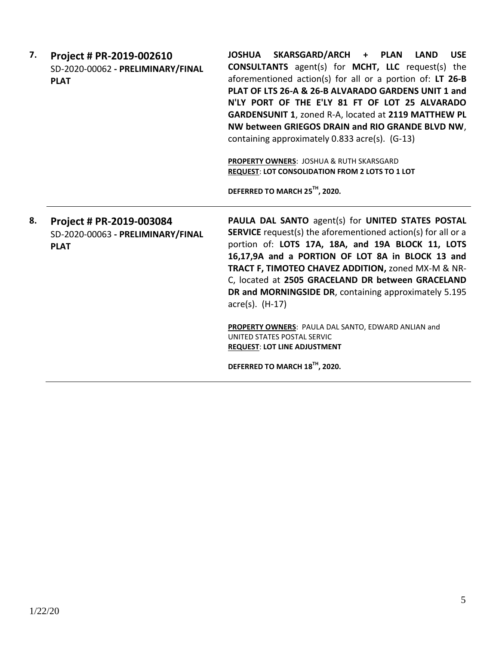| 7. | Project # PR-2019-002610<br>SD-2020-00062 - PRELIMINARY/FINAL<br><b>PLAT</b> | JOSHUA SKARSGARD/ARCH + PLAN LAND<br><b>USE</b><br><b>CONSULTANTS</b> agent(s) for <b>MCHT</b> , LLC request(s) the<br>aforementioned action(s) for all or a portion of: LT 26-B<br>PLAT OF LTS 26-A & 26-B ALVARADO GARDENS UNIT 1 and<br>N'LY PORT OF THE E'LY 81 FT OF LOT 25 ALVARADO<br>GARDENSUNIT 1, zoned R-A, located at 2119 MATTHEW PL<br>NW between GRIEGOS DRAIN and RIO GRANDE BLVD NW,<br>containing approximately 0.833 acre(s). (G-13)<br><b>PROPERTY OWNERS: JOSHUA &amp; RUTH SKARSGARD</b><br>REQUEST: LOT CONSOLIDATION FROM 2 LOTS TO 1 LOT<br>DEFERRED TO MARCH 25TH, 2020. |
|----|------------------------------------------------------------------------------|----------------------------------------------------------------------------------------------------------------------------------------------------------------------------------------------------------------------------------------------------------------------------------------------------------------------------------------------------------------------------------------------------------------------------------------------------------------------------------------------------------------------------------------------------------------------------------------------------|
| 8. | Project # PR-2019-003084<br>SD-2020-00063 - PRELIMINARY/FINAL<br><b>PLAT</b> | PAULA DAL SANTO agent(s) for UNITED STATES POSTAL<br><b>SERVICE</b> request(s) the aforementioned action(s) for all or a<br>portion of: LOTS 17A, 18A, and 19A BLOCK 11, LOTS<br>16,17,9A and a PORTION OF LOT 8A in BLOCK 13 and<br>TRACT F, TIMOTEO CHAVEZ ADDITION, zoned MX-M & NR-<br>C, located at 2505 GRACELAND DR between GRACELAND<br>DR and MORNINGSIDE DR, containing approximately 5.195<br>$\text{acre}(s)$ . $(H-17)$<br>PROPERTY OWNERS: PAULA DAL SANTO, EDWARD ANLIAN and<br>UNITED STATES POSTAL SERVIC<br><b>REQUEST: LOT LINE ADJUSTMENT</b>                                  |

**DEFERRED TO MARCH 18TH, 2020.**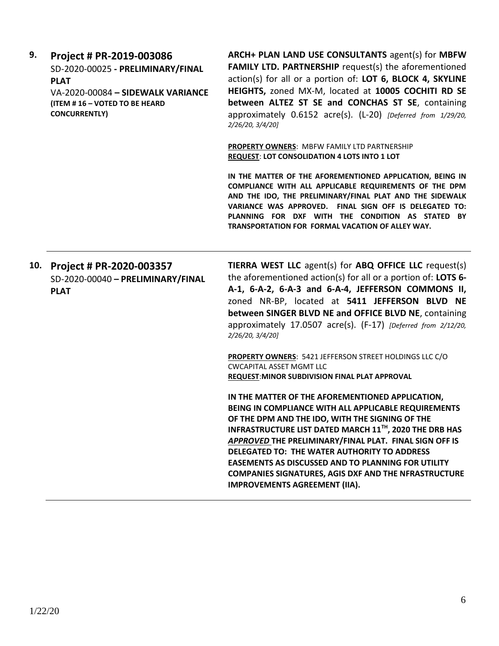| 9.  | Project # PR-2019-003086<br>SD-2020-00025 - PRELIMINARY/FINAL<br><b>PLAT</b><br>VA-2020-00084 - SIDEWALK VARIANCE<br>(ITEM #16 - VOTED TO BE HEARD<br><b>CONCURRENTLY)</b> | ARCH+ PLAN LAND USE CONSULTANTS agent(s) for MBFW<br><b>FAMILY LTD. PARTNERSHIP</b> request(s) the aforementioned<br>action(s) for all or a portion of: LOT 6, BLOCK 4, SKYLINE<br>HEIGHTS, zoned MX-M, located at 10005 COCHITI RD SE<br>between ALTEZ ST SE and CONCHAS ST SE, containing<br>approximately 0.6152 acre(s). (L-20) [Deferred from 1/29/20,<br>2/26/20, 3/4/20]                                                                                                                                  |  |
|-----|----------------------------------------------------------------------------------------------------------------------------------------------------------------------------|------------------------------------------------------------------------------------------------------------------------------------------------------------------------------------------------------------------------------------------------------------------------------------------------------------------------------------------------------------------------------------------------------------------------------------------------------------------------------------------------------------------|--|
|     |                                                                                                                                                                            | <b>PROPERTY OWNERS: MBFW FAMILY LTD PARTNERSHIP</b><br><b>REQUEST: LOT CONSOLIDATION 4 LOTS INTO 1 LOT</b>                                                                                                                                                                                                                                                                                                                                                                                                       |  |
|     |                                                                                                                                                                            | IN THE MATTER OF THE AFOREMENTIONED APPLICATION, BEING IN<br>COMPLIANCE WITH ALL APPLICABLE REQUIREMENTS OF THE DPM<br>AND THE IDO, THE PRELIMINARY/FINAL PLAT AND THE SIDEWALK<br>VARIANCE WAS APPROVED. FINAL SIGN OFF IS DELEGATED TO:<br>PLANNING FOR DXF WITH THE CONDITION AS STATED BY<br>TRANSPORTATION FOR FORMAL VACATION OF ALLEY WAY.                                                                                                                                                                |  |
| 10. | Project # PR-2020-003357<br>SD-2020-00040 - PRELIMINARY/FINAL<br><b>PLAT</b>                                                                                               | <b>TIERRA WEST LLC</b> agent(s) for ABQ OFFICE LLC request(s)<br>the aforementioned action(s) for all or a portion of: LOTS 6-<br>A-1, 6-A-2, 6-A-3 and 6-A-4, JEFFERSON COMMONS II,<br>zoned NR-BP, located at 5411 JEFFERSON BLVD NE<br>between SINGER BLVD NE and OFFICE BLVD NE, containing<br>approximately 17.0507 acre(s). (F-17) [Deferred from 2/12/20,<br>2/26/20, 3/4/20]                                                                                                                             |  |
|     |                                                                                                                                                                            | PROPERTY OWNERS: 5421 JEFFERSON STREET HOLDINGS LLC C/O<br><b>CWCAPITAL ASSET MGMT LLC</b><br>REQUEST: MINOR SUBDIVISION FINAL PLAT APPROVAL                                                                                                                                                                                                                                                                                                                                                                     |  |
|     |                                                                                                                                                                            | IN THE MATTER OF THE AFOREMENTIONED APPLICATION,<br>BEING IN COMPLIANCE WITH ALL APPLICABLE REQUIREMENTS<br>OF THE DPM AND THE IDO, WITH THE SIGNING OF THE<br>INFRASTRUCTURE LIST DATED MARCH 11 <sup>TH</sup> , 2020 THE DRB HAS<br>APPROVED THE PRELIMINARY/FINAL PLAT. FINAL SIGN OFF IS<br>DELEGATED TO: THE WATER AUTHORITY TO ADDRESS<br><b>EASEMENTS AS DISCUSSED AND TO PLANNING FOR UTILITY</b><br><b>COMPANIES SIGNATURES, AGIS DXF AND THE NFRASTRUCTURE</b><br><b>IMPROVEMENTS AGREEMENT (IIA).</b> |  |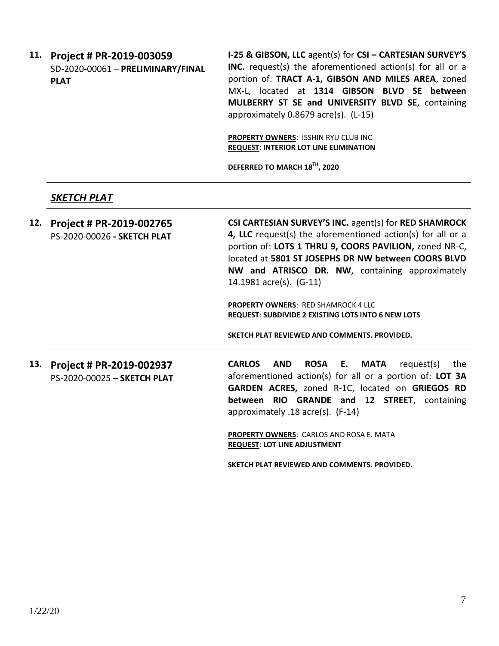**11. Project # PR-2019-003059** SD-2020-00061 – **PRELIMINARY/FINAL PLAT**

**I-25 & GIBSON, LLC** agent(s) for **CSI – CARTESIAN SURVEY'S INC.** request(s) the aforementioned action(s) for all or a portion of: **TRACT A-1, GIBSON AND MILES AREA**, zoned MX-L, located at **1314 GIBSON BLVD SE between MULBERRY ST SE and UNIVERSITY BLVD SE**, containing approximately 0.8679 acre(s). (L-15)

**PROPERTY OWNERS**: ISSHIN RYU CLUB INC **REQUEST**: **INTERIOR LOT LINE ELIMINATION**

**DEFERRED TO MARCH 18TH, 2020**

## *SKETCH PLAT*

**12. Project # PR-2019-002765** PS-2020-00026 **- SKETCH PLAT CSI CARTESIAN SURVEY'S INC.** agent(s) for **RED SHAMROCK 4, LLC** request(s) the aforementioned action(s) for all or a portion of: **LOTS 1 THRU 9, COORS PAVILION,** zoned NR-C, located at **5801 ST JOSEPHS DR NW between COORS BLVD NW and ATRISCO DR. NW**, containing approximately 14.1981 acre(s). (G-11)

> **PROPERTY OWNERS**: RED SHAMROCK 4 LLC **REQUEST**: **SUBDIVIDE 2 EXISTING LOTS INTO 6 NEW LOTS**

**SKETCH PLAT REVIEWED AND COMMENTS. PROVIDED.**

**13. Project # PR-2019-002937** PS-2020-00025 **– SKETCH PLAT** **CARLOS AND ROSA E. MATA** request(s) the aforementioned action(s) for all or a portion of: **LOT 3A GARDEN ACRES,** zoned R-1C, located on **GRIEGOS RD between RIO GRANDE and 12 STREET**, containing approximately .18 acre(s). (F-14)

**PROPERTY OWNERS**: CARLOS AND ROSA E. MATA **REQUEST**: **LOT LINE ADJUSTMENT**

**SKETCH PLAT REVIEWED AND COMMENTS. PROVIDED.**